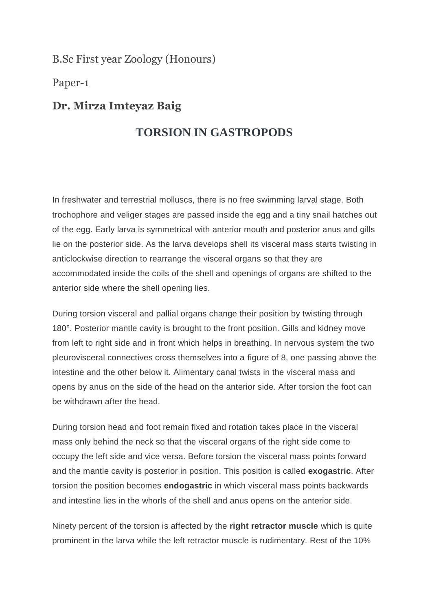B.Sc First year Zoology (Honours)

Paper-1

## **Dr. Mirza Imteyaz Baig**

## **TORSION IN GASTROPODS**

In freshwater and terrestrial molluscs, there is no free swimming larval stage. Both trochophore and veliger stages are passed inside the egg and a tiny snail hatches out of the egg. Early larva is symmetrical with anterior mouth and posterior anus and gills lie on the posterior side. As the larva develops shell its visceral mass starts twisting in anticlockwise direction to rearrange the visceral organs so that they are accommodated inside the coils of the shell and openings of organs are shifted to the anterior side where the shell opening lies.

During torsion visceral and pallial organs change their position by twisting through 180°. Posterior mantle cavity is brought to the front position. Gills and kidney move from left to right side and in front which helps in breathing. In nervous system the two pleurovisceral connectives cross themselves into a figure of 8, one passing above the intestine and the other below it. Alimentary canal twists in the visceral mass and opens by anus on the side of the head on the anterior side. After torsion the foot can be withdrawn after the head.

During torsion head and foot remain fixed and rotation takes place in the visceral mass only behind the neck so that the visceral organs of the right side come to occupy the left side and vice versa. Before torsion the visceral mass points forward and the mantle cavity is posterior in position. This position is called **exogastric**. After torsion the position becomes **endogastric** in which visceral mass points backwards and intestine lies in the whorls of the shell and anus opens on the anterior side.

Ninety percent of the torsion is affected by the **right retractor muscle** which is quite prominent in the larva while the left retractor muscle is rudimentary. Rest of the 10%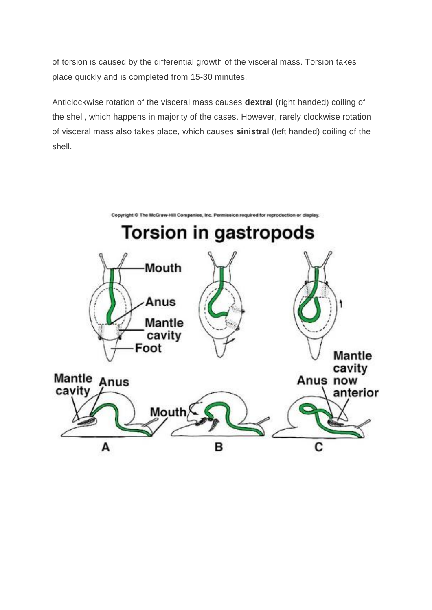of torsion is caused by the differential growth of the visceral mass. Torsion takes place quickly and is completed from 15-30 minutes.

Anticlockwise rotation of the visceral mass causes **dextral** (right handed) coiling of the shell, which happens in majority of the cases. However, rarely clockwise rotation of visceral mass also takes place, which causes **sinistral** (left handed) coiling of the shell.